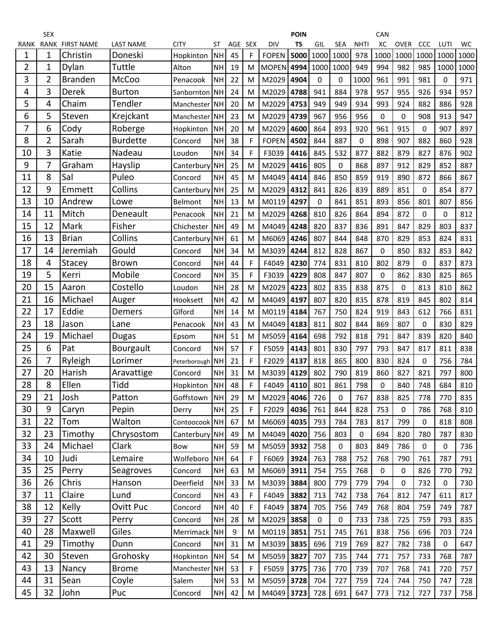|      | <b>SEX</b>  |                   |                  |               |           |     |     |                   | <b>POIN</b> |      |             |             | CAN         |             |             |             |      |
|------|-------------|-------------------|------------------|---------------|-----------|-----|-----|-------------------|-------------|------|-------------|-------------|-------------|-------------|-------------|-------------|------|
| RANK | <b>RANK</b> | <b>FIRST NAME</b> | <b>LAST NAME</b> | CITY          | ST        | AGE | SEX | <b>DIV</b>        | <b>TS</b>   | GIL  | <b>SEA</b>  | <b>NHTI</b> | XC          | <b>OVER</b> | CCC         | LUTI        | WC   |
| 1    | 1           | Christin          | Doneski          | Hopkinton     | <b>NH</b> | 45  | F   | <b>FOPEN</b>      | 5000        | 1000 | 1000        | 978         | 1000        | 1000        | 1000        | 1000        | 1000 |
| 2    | 1           | Dylan             | Tuttle           | Alton         | <b>NH</b> | 19  | M   | <b>MOPEN</b> 4994 |             | 1000 | 1000        | 949         | 994         | 982         | 985         | 1000        | 1000 |
| 3    | 2           | <b>Branden</b>    | <b>McCoo</b>     | Penacook      | <b>NH</b> | 22  | M   | M2029             | 4904        | 0    | 0           | 1000        | 961         | 991         | 981         | 0           | 971  |
| 4    | 3           | Derek             | <b>Burton</b>    | Sanbornton    | <b>NH</b> | 24  | M   | M2029             | 4788        | 941  | 884         | 978         | 957         | 955         | 926         | 934         | 957  |
| 5    | 4           | Chaim             | Tendler          | Manchester NH |           | 20  | M   | M2029             | 4753        | 949  | 949         | 934         | 993         | 924         | 882         | 886         | 928  |
| 6    | 5           | Steven            | Krejckant        | Manchester    | <b>NH</b> | 23  | M   | M2029             | 4739        | 967  | 956         | 956         | $\mathbf 0$ | 0           | 908         | 913         | 947  |
| 7    | 6           | Cody              | Roberge          | Hopkinton     | <b>NH</b> | 20  | M   | M2029             | 4600        | 864  | 893         | 920         | 961         | 915         | 0           | 907         | 897  |
| 8    | 2           | Sarah             | <b>Burdette</b>  | Concord       | <b>NH</b> | 38  | F   | <b>FOPEN</b>      | 4502        | 844  | 887         | 0           | 898         | 907         | 882         | 860         | 928  |
| 10   | 3           | Katie             | Nadeau           | Loudon        | <b>NH</b> | 34  | F   | F3039             | 4416        | 845  | 532         | 877         | 882         | 879         | 827         | 876         | 902  |
| 9    | 7           | Graham            | Hayslip          | Canterbury NH |           | 25  | M   | M2029             | 4416        | 805  | $\mathbf 0$ | 868         | 897         | 912         | 829         | 852         | 887  |
| 11   | 8           | Sal               | Puleo            | Concord       | <b>NH</b> | 45  | M   | M4049             | 4414        | 846  | 850         | 859         | 919         | 890         | 872         | 866         | 867  |
| 12   | 9           | Emmett            | Collins          | Canterbury NH |           | 25  | M   | M2029             | 4312        | 841  | 826         | 839         | 889         | 851         | 0           | 854         | 877  |
| 13   | 10          | Andrew            | Lowe             | Belmont       | <b>NH</b> | 13  | M   | M0119             | 4297        | 0    | 841         | 851         | 893         | 856         | 801         | 807         | 856  |
| 14   | 11          | Mitch             | Deneault         | Penacook      | <b>NH</b> | 21  | M   | M2029             | 4268        | 810  | 826         | 864         | 894         | 872         | 0           | $\mathbf 0$ | 812  |
| 15   | 12          | Mark              | Fisher           | Chichester    | <b>NH</b> | 49  | M   | M4049             | 4248        | 820  | 837         | 836         | 891         | 847         | 829         | 803         | 837  |
| 16   | 13          | <b>Brian</b>      | Collins          | Canterbury NH |           | 61  | M   | M6069             | 4246        | 807  | 844         | 848         | 870         | 829         | 853         | 824         | 831  |
| 17   | 14          | Jeremiah          | Gould            | Concord       | <b>NH</b> | 34  | M   | M3039             | 4244        | 812  | 828         | 867         | 0           | 850         | 832         | 853         | 842  |
| 18   | 4           | Stacey            | <b>Brown</b>     | Concord       | <b>NH</b> | 44  | F   | F4049             | 4230        | 774  | 831         | 810         | 802         | 879         | 0           | 837         | 873  |
| 19   | 5           | Kerri             | Mobile           | Concord       | <b>NH</b> | 35  | F   | F3039             | 4229        | 808  | 847         | 807         | 0           | 862         | 830         | 825         | 865  |
| 20   | 15          | Aaron             | Costello         | Loudon        | <b>NH</b> | 28  | M   | M2029             | 4223        | 802  | 835         | 838         | 875         | 0           | 813         | 810         | 862  |
| 21   | 16          | Michael           | Auger            | Hooksett      | <b>NH</b> | 42  | M   | M4049             | 4197        | 807  | 820         | 835         | 878         | 819         | 845         | 802         | 814  |
| 22   | 17          | Eddie             | Demers           | Glford        | <b>NH</b> | 14  | M   | M0119             | 4184        | 767  | 750         | 824         | 919         | 843         | 612         | 766         | 831  |
| 23   | 18          | Jason             | Lane             | Penacook      | <b>NH</b> | 43  | M   | M4049             | 4183        | 811  | 802         | 844         | 869         | 807         | 0           | 830         | 829  |
| 24   | 19          | Michael           | Dugas            | Epsom         | <b>NH</b> | 51  | M   | M5059             | 4164        | 698  | 792         | 818         | 791         | 847         | 839         | 820         | 840  |
| 25   | 6           | Pat               | <b>Bourgault</b> | Concord       | <b>NH</b> | 57  | F   | F5059             | 4143        | 801  | 830         | 797         | 793         | 847         | 817         | 811         | 838  |
| 26   | 7           | Ryleigh           | Lorimer          | Peterborough  | <b>NH</b> | 21  | F   | F2029             | 4137        | 818  | 865         | 800         | 830         | 824         | 0           | 756         | 784  |
| 27   | 20          | Harish            | Aravattige       | Concord       | <b>NH</b> | 31  | M   | M3039             | 4129        | 802  | 790         | 819         | 860         | 827         | 821         | 797         | 800  |
| 28   | 8           | Ellen             | Tidd             | Hopkinton     | <b>NH</b> | 48  | F   | F4049             | 4110        | 801  | 861         | 798         | 0           | 840         | 748         | 684         | 810  |
| 29   | 21          | Josh              | Patton           | Goffstown NH  |           | 29  | M   | M2029 4046        |             | 726  | 0           | 767         | 838         | 825         | 778         | 770         | 835  |
| 30   | 9           | Caryn             | Pepin            | Derry         | <b>NH</b> | 25  | F   | F2029             | 4036        | 761  | 844         | 828         | 753         | 0           | 786         | 768         | 810  |
| 31   | 22          | Tom               | Walton           | Contoocook NH |           | 67  | M   | M6069             | 4035        | 793  | 784         | 783         | 817         | 799         | $\mathbf 0$ | 818         | 808  |
| 32   | 23          | Timothy           | Chrysostom       | Canterbury NH |           | 49  | M   | M4049             | 4020        | 756  | 803         | 0           | 694         | 820         | 780         | 787         | 830  |
| 33   | 24          | Michael           | Clark            | Bow           | <b>NH</b> | 59  | M   | M5059             | 3932        | 758  | $\mathbf 0$ | 803         | 849         | 786         | $\mathbf 0$ | 0           | 736  |
| 34   | 10          | Judi              | Lemaire          | Wolfeboro NH  |           | 64  | F   | F6069             | 3924        | 763  | 788         | 752         | 768         | 790         | 761         | 787         | 791  |
| 35   | 25          | Perry             | Seagroves        | Concord       | NH        | 63  | M   | M6069             | 3911        | 754  | 755         | 768         | 0           | 0           | 826         | 770         | 792  |
| 36   | 26          | Chris             | Hanson           | Deerfield     | <b>NH</b> | 33  | M   | M3039             | 3884        | 800  | 779         | 779         | 794         | 0           | 732         | 0           | 730  |
| 37   | 11          | Claire            | Lund             | Concord       | <b>NH</b> | 43  | F   | F4049             | 3882        | 713  | 742         | 738         | 764         | 812         | 747         | 611         | 817  |
| 38   | 12          | Kelly             | <b>Ovitt Puc</b> | Concord       | <b>NH</b> | 40  | F   | F4049             | 3874        | 705  | 756         | 749         | 768         | 804         | 759         | 749         | 787  |
| 39   | 27          | Scott             | Perry            | Concord       | <b>NH</b> | 28  | M   | M2029             | 3858        | 0    | $\pmb{0}$   | 733         | 738         | 725         | 759         | 793         | 835  |
| 40   | 28          | Maxwell           | Giles            | Merrimack NH  |           | 9   | M   | M0119             | 3851        | 751  | 745         | 761         | 838         | 756         | 696         | 703         | 724  |
| 41   | 29          | Timothy           | Dunn             | Concord       | <b>NH</b> | 31  | M   | M3039             | 3835        | 696  | 719         | 769         | 827         | 782         | 738         | 0           | 647  |
| 42   | 30          | Steven            | Grohosky         | Hopkinton     | <b>NH</b> | 54  | M   | M5059             | 3827        | 707  | 735         | 744         | 771         | 757         | 733         | 768         | 787  |
| 43   | 13          | Nancy             | <b>Brome</b>     | Manchester NH |           | 53  | F   | F5059             | 3775        | 736  | 770         | 739         | 707         | 768         | 741         | 720         | 757  |
| 44   | 31          | Sean              | Coyle            | Salem         | NH        | 53  | M   | M5059 3728        |             | 704  | 727         | 759         | 724         | 744         | 750         | 747         | 728  |
| 45   | 32          | John              | Puc              | Concord       | NH        | 42  | M   | M4049 3723        |             | 728  | 691         | 647         | 773         | 712         | 727         | 737         | 758  |
|      |             |                   |                  |               |           |     |     |                   |             |      |             |             |             |             |             |             |      |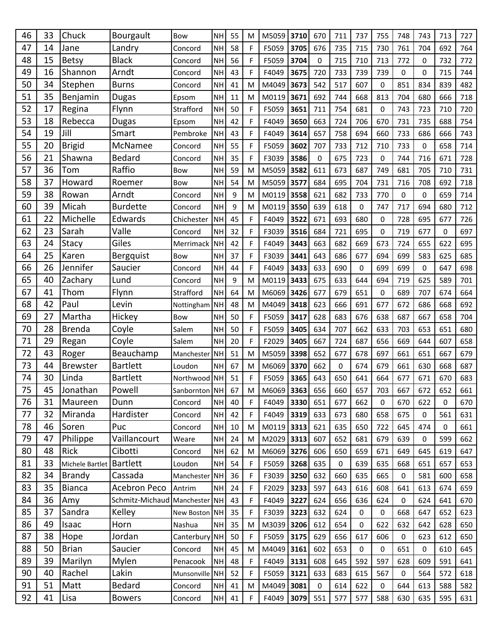| 46       | 33       | Chuck                   | Bourgault                     | Bow                     | <b>NH</b>              | 55       | M                | M5059          | 3710         | 670        | 711              | 737         | 755              | 748                | 743         | 713         | 727        |
|----------|----------|-------------------------|-------------------------------|-------------------------|------------------------|----------|------------------|----------------|--------------|------------|------------------|-------------|------------------|--------------------|-------------|-------------|------------|
| 47       | 14       | Jane                    | Landry                        | Concord                 | <b>NH</b>              | 58       | F                | F5059          | 3705         | 676        | 735              | 715         | 730              | 761                | 704         | 692         | 764        |
| 48       | 15       | <b>Betsy</b>            | <b>Black</b>                  | Concord                 | <b>NH</b>              | 56       | F                | F5059          | 3704         | 0          | 715              | 710         | 713              | 772                | 0           | 732         | 772        |
| 49       | 16       | Shannon                 | Arndt                         | Concord                 | <b>NH</b>              | 43       | F                | F4049          | 3675         | 720        | 733              | 739         | 739              | 0                  | 0           | 715         | 744        |
| 50       | 34       | Stephen                 | <b>Burns</b>                  | Concord                 | <b>NH</b>              | 41       | M                | M4049          | 3673         | 542        | 517              | 607         | 0                | 851                | 834         | 839         | 482        |
| 51       | 35       | Benjamin                | <b>Dugas</b>                  | Epsom                   | <b>NH</b>              | 11       | M                | M0119          | 3671         | 692        | 744              | 668         | 813              | 704                | 680         | 666         | 718        |
| 52       | 17       | Regina                  | Flynn                         | Strafford               | <b>NH</b>              | 50       | F                | F5059          | 3651         | 711        | 754              | 681         | 0                | 743                | 723         | 710         | 720        |
| 53       | 18       | Rebecca                 | <b>Dugas</b>                  | Epsom                   | <b>NH</b>              | 42       | F                | F4049          | 3650         | 663        | 724              | 706         | 670              | 731                | 735         | 688         | 754        |
| 54       | 19       | Jill                    | Smart                         | Pembroke                | <b>NH</b>              | 43       | F                | F4049          | 3614         | 657        | 758              | 694         | 660              | 733                | 686         | 666         | 743        |
| 55       | 20       | <b>Brigid</b>           | McNamee                       | Concord                 | <b>NH</b>              | 55       | F                | F5059          | 3602         | 707        | 733              | 712         | 710              | 733                | 0           | 658         | 714        |
| 56       | 21       | Shawna                  | <b>Bedard</b>                 | Concord                 | <b>NH</b>              | 35       | F                | F3039          | 3586         | 0          | 675              | 723         | 0                | 744                | 716         | 671         | 728        |
| 57       | 36       | Tom                     | Raffio                        | Bow                     | <b>NH</b>              | 59       | M                | M5059          | 3582         | 611        | 673              | 687         | 749              | 681                | 705         | 710         | 731        |
| 58       | 37       | Howard                  | Roemer                        | <b>Bow</b>              | <b>NH</b>              | 54       | M                | M5059          | 3577         | 684        | 695              | 704         | 731              | 716                | 708         | 692         | 718        |
| 59       | 38       | Rowan                   | Arndt                         | Concord                 | <b>NH</b>              | 9        | M                | M0119          | 3558         | 621        | 682              | 733         | 770              | 0                  | 0           | 659         | 714        |
| 60       | 39       | Micah                   | <b>Burdette</b>               | Concord                 | <b>NH</b>              | 9        | M                | M0119          | 3550         | 639        | 618              | $\pmb{0}$   | 747              | 717                | 694         | 680         | 712        |
| 61       | 22       | Michelle                | Edwards                       | Chichester              | <b>NH</b>              | 45       | F                | F4049          | 3522         | 671        | 693              | 680         | 0                | 728                | 695         | 677         | 726        |
| 62       | 23       | Sarah                   | Valle                         | Concord                 | <b>NH</b>              | 32       | $\mathsf F$      | F3039          | 3516         | 684        | 721              | 695         | $\mathbf 0$      | 719                | 677         | 0           | 697        |
| 63       | 24       | Stacy                   | Giles                         | Merrimack NH            |                        | 42       | F                | F4049          | 3443         | 663        | 682              | 669         | 673              | 724                | 655         | 622         | 695        |
| 64       | 25       | Karen                   | Bergquist                     | Bow                     | <b>NH</b>              | 37       | F                | F3039          | 3441         | 643        | 686              | 677         | 694              | 699                | 583         | 625         | 685        |
| 66       | 26       | Jennifer                | Saucier                       | Concord                 | <b>NH</b>              | 44       | F                | F4049          | 3433         | 633        | 690              | 0           | 699              | 699                | 0           | 647         | 698        |
| 65       | 40       | Zachary                 | Lund                          | Concord                 | <b>NH</b>              | 9        | M                | M0119          | 3433         | 675        | 633              | 644         | 694              | 719                | 625         | 589         | 701        |
| 67       | 41       | Thom                    | Flynn                         | Strafford               | <b>NH</b>              | 64       | M                | M6069          | 3426         | 677        | 679              | 651         | $\Omega$         | 689                | 707         | 674         | 664        |
| 68       | 42       | Paul                    | Levin                         | Nottingham NH           |                        | 48       | M                | M4049          | 3418         | 623        | 666              | 691         | 677              | 672                | 686         | 668         | 692        |
| 69       | 27       | Martha                  | Hickey                        | Bow                     | <b>NH</b>              | 50       | F                | F5059          | 3417         | 628        | 683              | 676         | 638              | 687                | 667         | 658         | 704        |
| 70       | 28       | <b>Brenda</b>           | Coyle                         | Salem                   | <b>NH</b>              | 50       | F                | F5059          | 3405         | 634        | 707              | 662         | 633              | 703                | 653         | 651         | 680        |
| 71       | 29       | Regan                   | Coyle                         | Salem                   | <b>NH</b>              | 20       | F                | F2029          | 3405         | 667        | 724              | 687         | 656              | 669                | 644         | 607         | 658        |
| 72       | 43       | Roger                   | Beauchamp                     | Manchester              | NH                     | 51       | M                | M5059          | 3398         | 652        | 677              | 678         | 697              | 661                | 651         | 667         | 679        |
| 73       | 44       | <b>Brewster</b>         | <b>Bartlett</b>               | Loudon                  | <b>NH</b>              | 67       | M                | M6069          | 3370         | 662        | 0                | 674         | 679              | 661                | 630         | 668         | 687        |
| 74       | 30       | Linda                   | <b>Bartlett</b>               | Northwood NH            |                        | 51       | F                | F5059          | 3365         | 643        | 650              | 641         | 664              | 677                | 671         | 670         | 683        |
| 75       | 45       | Jonathan                | Powell                        | Sanbornton NH           |                        | 67       | M                | M6069 3363     |              | 656        | 660              | 657         | 703              | 667                | 672         | 652         | 661        |
| 76       | 31       | Maureen                 | Dunn                          | Concord                 | <b>NH</b>              | 40       | F                | F4049          | 3330         | 651        | 677              | 662         | $\Omega$         | 670                | 622         | $\Omega$    | 670        |
| 77       | 32       | Miranda                 | Hardister                     | Concord                 | <b>NH</b>              | 42       | F                | F4049          | 3319         | 633        | 673              | 680         | 658              | 675                | 0           | 561         | 631        |
| 78       | 46       | Soren                   | Puc                           | Concord                 | <b>NH</b>              | 10       | M                | $M0119$ 3313   |              | 621        | 635              | 650         | 722              | 645                | 474         | $\mathbf 0$ | 661        |
| 79       | 47       | Philippe                | Vaillancourt                  | Weare                   | <b>NH</b>              | 24       | M                | M2029          | 3313         | 607        | 652              | 681         | 679              | 639                | 0           | 599         | 662        |
| 80<br>81 | 48<br>33 | Rick<br>Michele Bartlet | Cibotti<br>Bartlett           | Concord                 | <b>NH</b><br><b>NH</b> | 62       | M                | M6069          | 3276         | 606        | 650              | 659         | 671              | 649                | 645         | 619         | 647        |
| 82       | 34       | Brandy                  | Cassada                       | Loudon<br>Manchester NH |                        | 54<br>36 | F<br>$\mathsf F$ | F5059          | 3268         | 635<br>632 | $\pmb{0}$<br>660 | 639         | 635              | 668<br>$\mathbf 0$ | 651<br>581  | 657         | 653        |
| 83       | 35       | <b>Bianca</b>           | Acebron Peco                  | Antrim                  | <b>NH</b>              | 24       | $\mathsf F$      | F3039<br>F2029 | 3250<br>3233 | 597        | 643              | 635<br>616  | 665<br>608       | 641                | 613         | 600<br>674  | 658<br>659 |
| 84       | 36       | Amy                     | Schmitz-Michaud Manchester NH |                         |                        | 43       | F                | F4049          | 3227         | 624        | 656              | 636         | 624              | $\mathbf 0$        | 624         | 641         | 670        |
| 85       | 37       | Sandra                  | Kelley                        | New Boston NH           |                        | 35       | $\mathsf F$      | F3039          | 3223         | 632        | 624              | $\mathbf 0$ | $\boldsymbol{0}$ | 668                | 647         | 652         | 623        |
| 86       | 49       | Isaac                   | Horn                          | Nashua                  | <b>NH</b>              | 35       | M                | M3039          | 3206         | 612        | 654              | $\pmb{0}$   | 622              | 632                | 642         | 628         | 650        |
| 87       | 38       | Hope                    | Jordan                        | Canterbury NH           |                        | 50       | F                | F5059          | 3175         | 629        | 656              | 617         | 606              | 0                  | 623         | 612         | 650        |
| 88       | 50       | <b>Brian</b>            | Saucier                       | Concord                 | <b>NH</b>              | 45       | M                | M4049          | 3161         | 602        | 653              | $\pmb{0}$   | 0                | 651                | $\mathbf 0$ | 610         | 645        |
| 89       | 39       | Marilyn                 | Mylen                         | Penacook                | <b>NH</b>              | 48       | F                | F4049          | 3131         | 608        | 645              | 592         | 597              | 628                | 609         | 591         | 641        |
| 90       | 40       | Rachel                  | Lakin                         | Munsonville NH          |                        | 52       | $\mathsf F$      | F5059          | 3121         | 633        | 683              | 615         | 567              | 0                  | 564         | 572         | 618        |
| 91       | 51       | Matt                    | <b>Bedard</b>                 | Concord                 | <b>NH</b>              | 41       | M                | M4049          | 3081         | 0          | 614              | 622         | $\mathbf 0$      | 644                | 613         | 588         | 582        |
| 92       | 41       | Lisa                    | <b>Bowers</b>                 | Concord                 | NH                     | 41       | F                | F4049          | 3079         | 551        | 577              | 577         | 588              | 630                | 635         | 595         | 631        |
|          |          |                         |                               |                         |                        |          |                  |                |              |            |                  |             |                  |                    |             |             |            |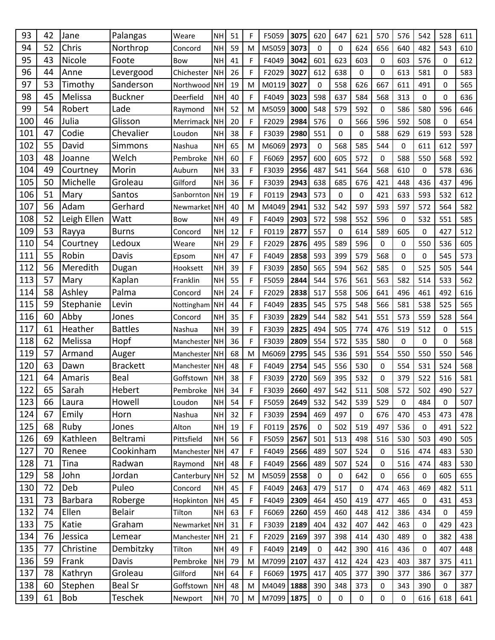| 93         | 42       | Jane             | Palangas                 | Weare               | <b>NH</b>       | 51       | F                          | F5059          | 3075         | 620         | 647         | 621         | 570         | 576        | 542                        | 528                | 611        |
|------------|----------|------------------|--------------------------|---------------------|-----------------|----------|----------------------------|----------------|--------------|-------------|-------------|-------------|-------------|------------|----------------------------|--------------------|------------|
| 94         | 52       | Chris            | Northrop                 | Concord             | <b>NH</b>       | 59       | M                          | M5059          | 3073         | $\mathbf 0$ | 0           | 624         | 656         | 640        | 482                        | 543                | 610        |
| 95         | 43       | Nicole           | Foote                    | Bow                 | <b>NH</b>       | 41       | F                          | F4049          | 3042         | 601         | 623         | 603         | 0           | 603        | 576                        | 0                  | 612        |
| 96         | 44       | Anne             | Levergood                | Chichester          | NH              | 26       | F                          | F2029          | 3027         | 612         | 638         | 0           | $\Omega$    | 613        | 581                        | $\mathbf 0$        | 583        |
| 97         | 53       | Timothy          | Sanderson                | Northwood NH        |                 | 19       | M                          | M0119          | 3027         | $\mathbf 0$ | 558         | 626         | 667         | 611        | 491                        | 0                  | 565        |
| 98         | 45       | Melissa          | <b>Buckner</b>           | Deerfield           | <b>NH</b>       | 40       | F                          | F4049          | 3023         | 598         | 637         | 584         | 568         | 313        | 0                          | $\Omega$           | 636        |
| 99         | 54       | Robert           | Lade                     | Raymond             | <b>NH</b>       | 52       | M                          | M5059          | 3000         | 548         | 579         | 592         | $\mathbf 0$ | 586        | 580                        | 596                | 646        |
| 100        | 46       | Julia            | Glisson                  | Merrimack           | <b>NH</b>       | 20       | F                          | F2029          | 2984         | 576         | $\pmb{0}$   | 566         | 596         | 592        | 508                        | 0                  | 654        |
| 101        | 47       | Codie            | Chevalier                | Loudon              | <b>NH</b>       | 38       | F                          | F3039          | 2980         | 551         | 0           | 0           | 588         | 629        | 619                        | 593                | 528        |
| 102        | 55       | David            | Simmons                  | Nashua              | <b>NH</b>       | 65       | M                          | M6069          | 2973         | $\mathbf 0$ | 568         | 585         | 544         | 0          | 611                        | 612                | 597        |
| 103        | 48       | Joanne           | Welch                    | Pembroke            | <b>NH</b>       | 60       | F                          | F6069          | 2957         | 600         | 605         | 572         | 0           | 588        | 550                        | 568                | 592        |
| 104        | 49       | Courtney         | Morin                    | Auburn              | <b>NH</b>       | 33       | F                          | F3039          | 2956         | 487         | 541         | 564         | 568         | 610        | 0                          | 578                | 636        |
| 105        | 50       | Michelle         | Groleau                  | Gilford             | <b>NH</b>       | 36       | $\mathsf F$                | F3039          | 2943         | 638         | 685         | 676         | 421         | 448        | 436                        | 437                | 496        |
| 106        | 51       | Mary             | Santos                   | Sanbornton NH       |                 | 19       | F                          | F0119          | 2943         | 573         | 0           | 0           | 421         | 633        | 593                        | 532                | 612        |
| 107        | 56       | Adam             | Gerhard                  | Newmarket NH        |                 | 40       | M                          | M4049          | 2941         | 532         | 542         | 597         | 593         | 597        | 572                        | 564                | 582        |
| 108        | 52       | Leigh Ellen      | Watt                     | <b>Bow</b>          | <b>NH</b>       | 49       | $\mathsf F$                | F4049          | 2903         | 572         | 598         | 552         | 596         | 0          | 532                        | 551                | 585        |
| 109        | 53       | Rayya            | <b>Burns</b>             | Concord             | <b>NH</b>       | 12       | F                          | F0119          | 2877         | 557         | $\mathbf 0$ | 614         | 589         | 605        | 0                          | 427                | 512        |
| 110        | 54       | Courtney         | Ledoux                   | Weare               | <b>NH</b>       | 29       | F                          | F2029          | 2876         | 495         | 589         | 596         | 0           | 0          | 550                        | 536                | 605        |
| 111        | 55       | Robin            | Davis                    | Epsom               | <b>NH</b>       | 47       | F                          | F4049          | 2858         | 593         | 399         | 579         | 568         | 0          | 0                          | 545                | 573        |
| 112        | 56       | Meredith         | Dugan                    | Hooksett            | <b>NH</b>       | 39       | F                          | F3039          | 2850         | 565         | 594         | 562         | 585         | 0          | 525                        | 505                | 544        |
| 113        | 57       | Mary             | Kaplan                   | Franklin            | <b>NH</b>       | 55       | F                          | F5059          | 2844         | 544         | 576         | 561         | 563         | 582        | 514                        | 533                | 562        |
| 114        | 58       | Ashley           | Palma                    | Concord             | <b>NH</b>       | 24       | F                          | F2029          | 2838         | 517         | 558         | 506         | 641         | 496        | 461                        | 492                | 616        |
| 115        | 59       | Stephanie        | Levin                    | Nottingham NH       |                 | 44       | F                          | F4049          | 2835         | 545         | 575         | 548         | 566         | 581        | 538                        | 525                | 565        |
| 116        | 60       | Abby             | Jones                    | Concord             | <b>NH</b>       | 35       | F                          | F3039          | 2829         | 544         | 582         | 541         | 551         | 573        | 559                        | 528                | 564        |
| 117        | 61       | Heather          | <b>Battles</b>           | Nashua              | <b>NH</b>       | 39       | F                          | F3039          | 2825         | 494         | 505         | 774         | 476         | 519        | 512                        | $\mathbf 0$        | 515        |
| 118        | 62       | Melissa          | Hopf                     | Manchester          | <b>NH</b>       | 36       | F                          | F3039          | 2809         | 554         | 572         | 535         | 580         | 0          | 0                          | 0                  | 568        |
| 119        | 57       | Armand           | Auger                    | Manchester NH       |                 | 68       | M                          | M6069          | 2795         | 545         | 536         | 591         | 554         | 550        | 550                        | 550                | 546        |
| 120        | 63       | Dawn             | <b>Brackett</b>          | Manchester NH       |                 | 48       | F                          | F4049          | 2754         | 545         | 556         | 530         | 0           | 554        | 531                        | 524                | 568        |
| 121        | 64       | Amaris           | Beal                     | Goffstown           | NH              | 38       | F                          | F3039          | 2720         | 569         | 395         | 532         | $\Omega$    | 379        | 522                        | 516                | 581        |
| 122        | 65       | Sarah            | Hebert                   | Pembroke            | <b>NH</b>       | 34       | F                          | F3039          | 2660         | 497         | 542         | 511         | 508         | 572        | 502                        | 490                | 527        |
| 123        | 66       | Laura            | Howell                   | Loudon              | <b>NH</b>       | 54       | F                          | F5059          | 2649         | 532         | 542         | 539         | 529         | 0          | 484                        | $\Omega$           | 507        |
| 124        | 67       | Emily            | Horn                     | Nashua              | <b>NH</b>       | 32       | F                          | F3039          | 2594         | 469         | 497         | 0           | 676         | 470        | 453                        | 473                | 478        |
| 125        | 68       | Ruby             | Jones                    | Alton               | <b>NH</b>       | 19       | F                          | F0119          | 2576         | 0           | 502         | 519         | 497         | 536        | $\mathbf 0$                | 491                | 522        |
| 126        | 69       | Kathleen         | Beltrami                 | Pittsfield          | <b>NH</b>       | 56       | F                          | F5059          | 2567         | 501         | 513         | 498         | 516         | 530        | 503                        | 490                | 505        |
| 127        | 70       | Renee            | Cookinham                | Manchester NH       |                 | 47       | F                          | F4049          | 2566         | 489         | 507         | 524         | $\mathbf 0$ | 516        | 474                        | 483                | 530        |
| 128        | 71       | Tina             | Radwan                   | Raymond             | <b>NH</b>       | 48       | F                          | F4049          | 2566         | 489         | 507         | 524         | 0           | 516        | 474                        | 483                | 530        |
| 129        | 58       | John             | Jordan                   | Canterbury NH       |                 | 52       | M                          | M5059          | 2558         | $\mathbf 0$ | $\mathbf 0$ | 642         | 0           | 656        | $\mathbf 0$                | 605                | 655        |
| 130        | 72<br>73 | Deb              | Puleo                    | Concord             | <b>NH</b>       | 45       | F                          | F4049          | 2463         | 479         | 517         | $\mathbf 0$ | 474         | 463        | 469                        | 482                | 511        |
| 131<br>132 | 74       | Barbara<br>Ellen | Roberge<br><b>Belair</b> | Hopkinton<br>Tilton | NH<br><b>NH</b> | 45<br>63 | F<br>$\mathsf F$           | F4049<br>F6069 | 2309         | 464<br>459  | 450         | 419<br>448  | 477<br>412  | 465        | $\mathbf 0$<br>434         | 431<br>$\pmb{0}$   | 453        |
|            | 75       |                  |                          | Newmarket NH        |                 |          |                            |                | 2260         |             | 460         |             |             | 386        |                            |                    | 459        |
| 133<br>134 | 76       | Katie<br>Jessica | Graham<br>Lemear         | Manchester NH       |                 | 31<br>21 | $\mathsf F$<br>$\mathsf F$ | F3039<br>F2029 | 2189         | 404<br>397  | 432<br>398  | 407         | 442         | 463<br>489 | $\mathbf 0$<br>$\mathbf 0$ | 429<br>382         | 423        |
| 135        | 77       | Christine        | Dembitzky                | Tilton              | <b>NH</b>       | 49       | F                          | F4049          | 2169<br>2149 | 0           | 442         | 414<br>390  | 430<br>416  | 436        | 0                          | 407                | 438<br>448 |
| 136        | 59       | Frank            | Davis                    | Pembroke            | NH              | 79       | M                          | M7099          | 2107         | 437         | 412         | 424         | 423         | 403        | 387                        | 375                | 411        |
| 137        | 78       | Kathryn          | Groleau                  | Gilford             | <b>NH</b>       | 64       |                            | F6069          | 1975         | 417         | 405         | 377         | 390         | 377        | 386                        |                    | 377        |
| 138        | 60       | Stephen          | <b>Beal Sr</b>           | Goffstown           | <b>NH</b>       | 48       | F<br>M                     | M4049          | 1888         | 390         | 348         | 373         |             | 343        | 390                        | 367<br>$\mathbf 0$ | 387        |
|            | 61       | Bob              | <b>Teschek</b>           |                     |                 |          |                            |                |              |             |             |             | 0           |            |                            |                    |            |
| 139        |          |                  |                          | Newport             | NH              | 70       | M                          | M7099 1875     |              | 0           | 0           | 0           | 0           | 0          | 616                        | 618                | 641        |